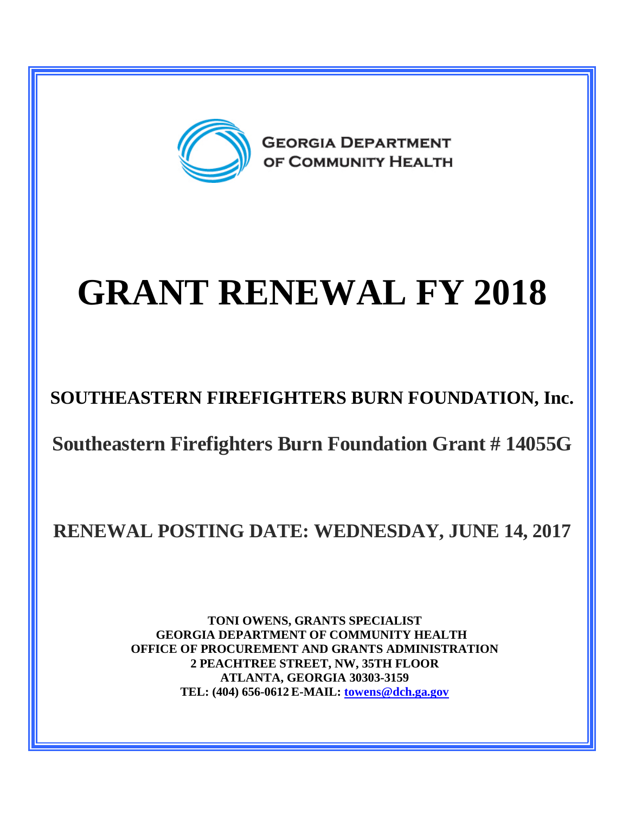

## **GRANT RENEWAL FY 2018**

**SOUTHEASTERN FIREFIGHTERS BURN FOUNDATION, Inc.**

**Southeastern Firefighters Burn Foundation Grant # 14055G**

**RENEWAL POSTING DATE: WEDNESDAY, JUNE 14, 2017**

**TONI OWENS, GRANTS SPECIALIST GEORGIA DEPARTMENT OF COMMUNITY HEALTH OFFICE OF PROCUREMENT AND GRANTS ADMINISTRATION 2 PEACHTREE STREET, NW, 35TH FLOOR ATLANTA, GEORGIA 30303-3159 TEL: (404) 656-0612 E-MAIL: [towens@dch.ga.gov](mailto:towens@dch.ga.gov)**